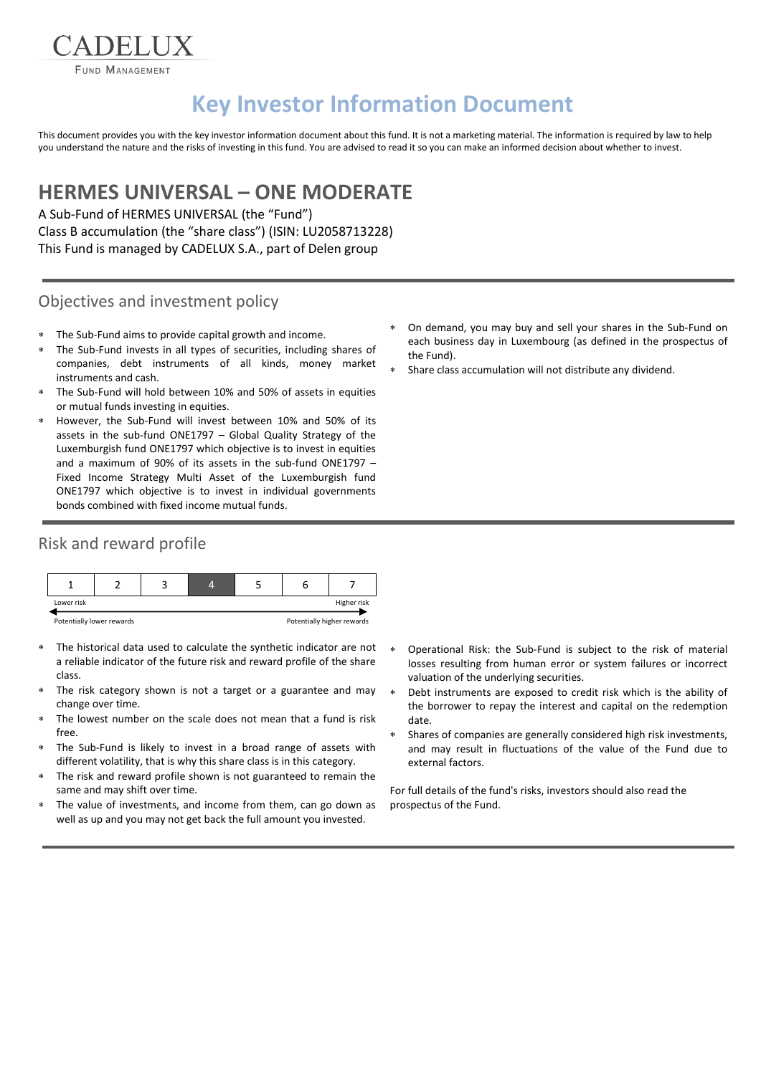FUND MANAGEMENT

DELI

# **Key Investor Information Document**

This document provides you with the key investor information document about this fund. It is not a marketing material. The information is required by law to help you understand the nature and the risks of investing in this fund. You are advised to read it so you can make an informed decision about whether to invest.

## **HERMES UNIVERSAL – ONE MODERATE**

A Sub-Fund of HERMES UNIVERSAL (the "Fund") Class B accumulation (the "share class") (ISIN: LU2058713228) This Fund is managed by CADELUX S.A., part of Delen group

#### Objectives and investment policy

- The Sub-Fund aims to provide capital growth and income.
- The Sub-Fund invests in all types of securities, including shares of companies, debt instruments of all kinds, money market instruments and cash.
- The Sub-Fund will hold between 10% and 50% of assets in equities or mutual funds investing in equities.
- However, the Sub-Fund will invest between 10% and 50% of its assets in the sub-fund ONE1797 – Global Quality Strategy of the Luxemburgish fund ONE1797 which objective is to invest in equities and a maximum of 90% of its assets in the sub-fund ONE1797 – Fixed Income Strategy Multi Asset of the Luxemburgish fund ONE1797 which objective is to invest in individual governments bonds combined with fixed income mutual funds.

## Risk and reward profile



- The historical data used to calculate the synthetic indicator are not a reliable indicator of the future risk and reward profile of the share class.
- The risk category shown is not a target or a guarantee and may change over time.
- The lowest number on the scale does not mean that a fund is risk free.
- The Sub-Fund is likely to invest in a broad range of assets with different volatility, that is why this share class is in this category.
- The risk and reward profile shown is not guaranteed to remain the same and may shift over time.
- The value of investments, and income from them, can go down as well as up and you may not get back the full amount you invested.
- On demand, you may buy and sell your shares in the Sub-Fund on each business day in Luxembourg (as defined in the prospectus of the Fund).
- Share class accumulation will not distribute any dividend.

- Operational Risk: the Sub-Fund is subject to the risk of material losses resulting from human error or system failures or incorrect valuation of the underlying securities.
- Debt instruments are exposed to credit risk which is the ability of the borrower to repay the interest and capital on the redemption date.
- Shares of companies are generally considered high risk investments, and may result in fluctuations of the value of the Fund due to external factors.

For full details of the fund's risks, investors should also read the prospectus of the Fund.